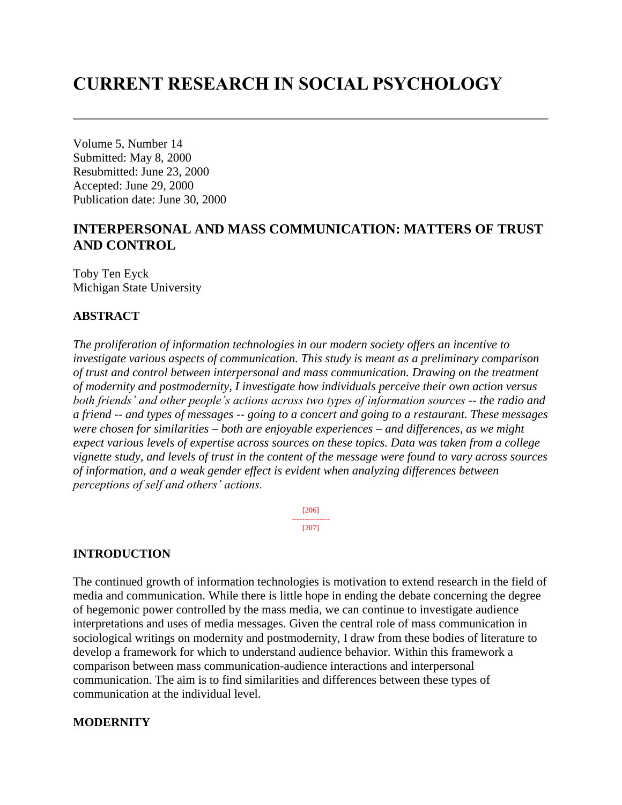# **CURRENT RESEARCH IN SOCIAL PSYCHOLOGY**

Volume 5, Number 14 Submitted: May 8, 2000 Resubmitted: June 23, 2000 Accepted: June 29, 2000 Publication date: June 30, 2000

## **INTERPERSONAL AND MASS COMMUNICATION: MATTERS OF TRUST AND CONTROL**

Toby Ten Eyck Michigan State University

## **ABSTRACT**

*The proliferation of information technologies in our modern society offers an incentive to investigate various aspects of communication. This study is meant as a preliminary comparison of trust and control between interpersonal and mass communication. Drawing on the treatment of modernity and postmodernity, I investigate how individuals perceive their own action versus both friends' and other people's actions across two types of information sources -- the radio and a friend -- and types of messages -- going to a concert and going to a restaurant. These messages were chosen for similarities – both are enjoyable experiences – and differences, as we might expect various levels of expertise across sources on these topics. Data was taken from a college vignette study, and levels of trust in the content of the message were found to vary across sources of information, and a weak gender effect is evident when analyzing differences between perceptions of self and others' actions.*

> [206] --------------- [207]

## **INTRODUCTION**

The continued growth of information technologies is motivation to extend research in the field of media and communication. While there is little hope in ending the debate concerning the degree of hegemonic power controlled by the mass media, we can continue to investigate audience interpretations and uses of media messages. Given the central role of mass communication in sociological writings on modernity and postmodernity, I draw from these bodies of literature to develop a framework for which to understand audience behavior. Within this framework a comparison between mass communication-audience interactions and interpersonal communication. The aim is to find similarities and differences between these types of communication at the individual level.

## **MODERNITY**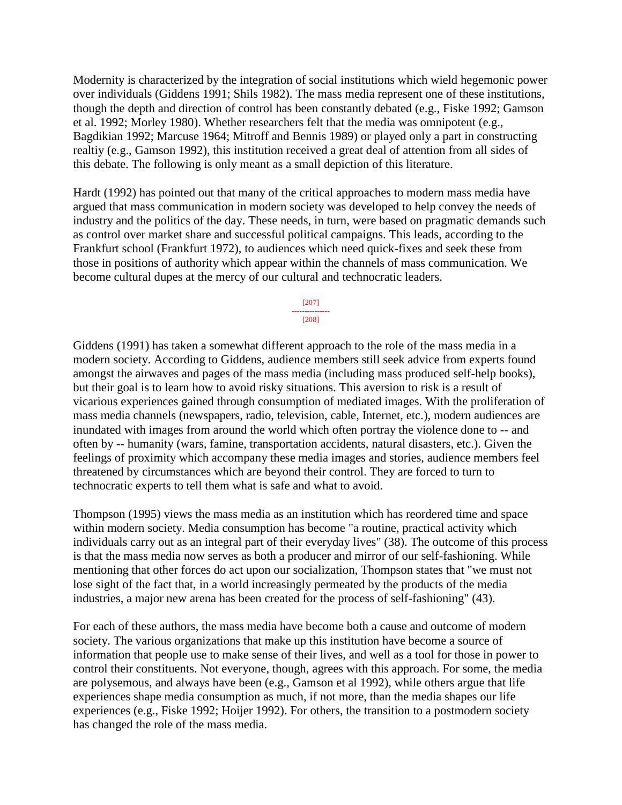Modernity is characterized by the integration of social institutions which wield hegemonic power over individuals (Giddens 1991; Shils 1982). The mass media represent one of these institutions, though the depth and direction of control has been constantly debated (e.g., Fiske 1992; Gamson et al. 1992; Morley 1980). Whether researchers felt that the media was omnipotent (e.g., Bagdikian 1992; Marcuse 1964; Mitroff and Bennis 1989) or played only a part in constructing realtiy (e.g., Gamson 1992), this institution received a great deal of attention from all sides of this debate. The following is only meant as a small depiction of this literature.

Hardt (1992) has pointed out that many of the critical approaches to modern mass media have argued that mass communication in modern society was developed to help convey the needs of industry and the politics of the day. These needs, in turn, were based on pragmatic demands such as control over market share and successful political campaigns. This leads, according to the Frankfurt school (Frankfurt 1972), to audiences which need quick-fixes and seek these from those in positions of authority which appear within the channels of mass communication. We become cultural dupes at the mercy of our cultural and technocratic leaders.

> [207] --------------- [208]

Giddens (1991) has taken a somewhat different approach to the role of the mass media in a modern society. According to Giddens, audience members still seek advice from experts found amongst the airwaves and pages of the mass media (including mass produced self-help books), but their goal is to learn how to avoid risky situations. This aversion to risk is a result of vicarious experiences gained through consumption of mediated images. With the proliferation of mass media channels (newspapers, radio, television, cable, Internet, etc.), modern audiences are inundated with images from around the world which often portray the violence done to -- and often by -- humanity (wars, famine, transportation accidents, natural disasters, etc.). Given the feelings of proximity which accompany these media images and stories, audience members feel threatened by circumstances which are beyond their control. They are forced to turn to technocratic experts to tell them what is safe and what to avoid.

Thompson (1995) views the mass media as an institution which has reordered time and space within modern society. Media consumption has become "a routine, practical activity which individuals carry out as an integral part of their everyday lives" (38). The outcome of this process is that the mass media now serves as both a producer and mirror of our self-fashioning. While mentioning that other forces do act upon our socialization, Thompson states that "we must not lose sight of the fact that, in a world increasingly permeated by the products of the media industries, a major new arena has been created for the process of self-fashioning" (43).

For each of these authors, the mass media have become both a cause and outcome of modern society. The various organizations that make up this institution have become a source of information that people use to make sense of their lives, and well as a tool for those in power to control their constituents. Not everyone, though, agrees with this approach. For some, the media are polysemous, and always have been (e.g., Gamson et al 1992), while others argue that life experiences shape media consumption as much, if not more, than the media shapes our life experiences (e.g., Fiske 1992; Hoijer 1992). For others, the transition to a postmodern society has changed the role of the mass media.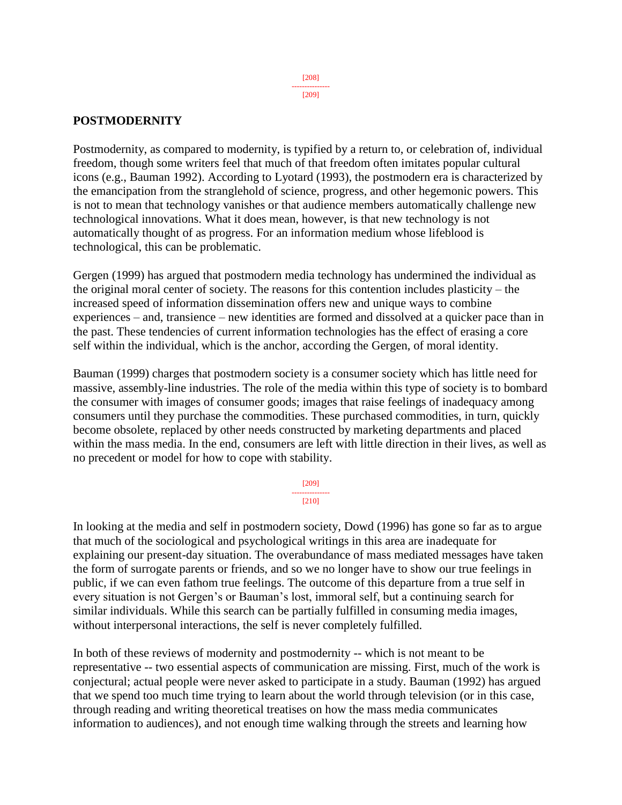**POSTMODERNITY**

Postmodernity, as compared to modernity, is typified by a return to, or celebration of, individual freedom, though some writers feel that much of that freedom often imitates popular cultural icons (e.g., Bauman 1992). According to Lyotard (1993), the postmodern era is characterized by the emancipation from the stranglehold of science, progress, and other hegemonic powers. This is not to mean that technology vanishes or that audience members automatically challenge new technological innovations. What it does mean, however, is that new technology is not automatically thought of as progress. For an information medium whose lifeblood is technological, this can be problematic.

Gergen (1999) has argued that postmodern media technology has undermined the individual as the original moral center of society. The reasons for this contention includes plasticity – the increased speed of information dissemination offers new and unique ways to combine experiences – and, transience – new identities are formed and dissolved at a quicker pace than in the past. These tendencies of current information technologies has the effect of erasing a core self within the individual, which is the anchor, according the Gergen, of moral identity.

Bauman (1999) charges that postmodern society is a consumer society which has little need for massive, assembly-line industries. The role of the media within this type of society is to bombard the consumer with images of consumer goods; images that raise feelings of inadequacy among consumers until they purchase the commodities. These purchased commodities, in turn, quickly become obsolete, replaced by other needs constructed by marketing departments and placed within the mass media. In the end, consumers are left with little direction in their lives, as well as no precedent or model for how to cope with stability.

> [209] --------------- [210]

In looking at the media and self in postmodern society, Dowd (1996) has gone so far as to argue that much of the sociological and psychological writings in this area are inadequate for explaining our present-day situation. The overabundance of mass mediated messages have taken the form of surrogate parents or friends, and so we no longer have to show our true feelings in public, if we can even fathom true feelings. The outcome of this departure from a true self in every situation is not Gergen's or Bauman's lost, immoral self, but a continuing search for similar individuals. While this search can be partially fulfilled in consuming media images, without interpersonal interactions, the self is never completely fulfilled.

In both of these reviews of modernity and postmodernity -- which is not meant to be representative -- two essential aspects of communication are missing. First, much of the work is conjectural; actual people were never asked to participate in a study. Bauman (1992) has argued that we spend too much time trying to learn about the world through television (or in this case, through reading and writing theoretical treatises on how the mass media communicates information to audiences), and not enough time walking through the streets and learning how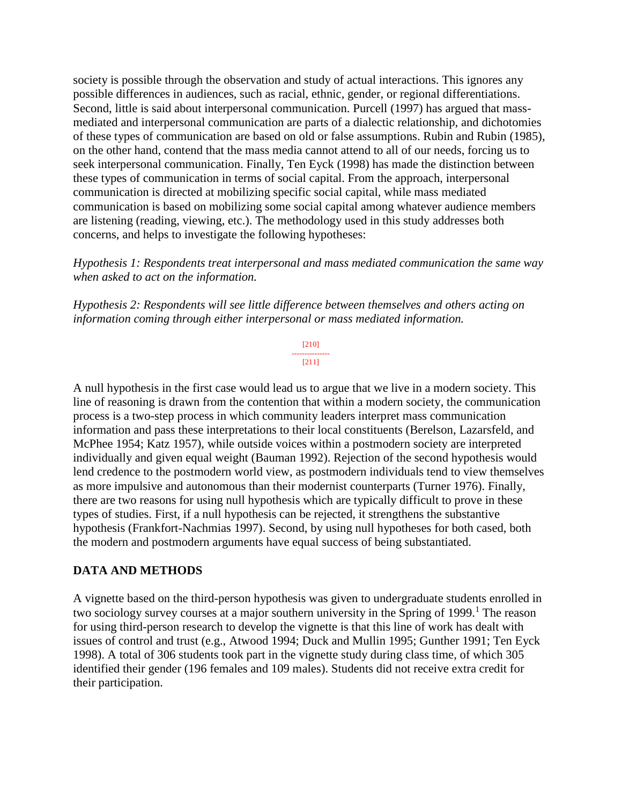society is possible through the observation and study of actual interactions. This ignores any possible differences in audiences, such as racial, ethnic, gender, or regional differentiations. Second, little is said about interpersonal communication. Purcell (1997) has argued that massmediated and interpersonal communication are parts of a dialectic relationship, and dichotomies of these types of communication are based on old or false assumptions. Rubin and Rubin (1985), on the other hand, contend that the mass media cannot attend to all of our needs, forcing us to seek interpersonal communication. Finally, Ten Eyck (1998) has made the distinction between these types of communication in terms of social capital. From the approach, interpersonal communication is directed at mobilizing specific social capital, while mass mediated communication is based on mobilizing some social capital among whatever audience members are listening (reading, viewing, etc.). The methodology used in this study addresses both concerns, and helps to investigate the following hypotheses:

*Hypothesis 1: Respondents treat interpersonal and mass mediated communication the same way when asked to act on the information.*

*Hypothesis 2: Respondents will see little difference between themselves and others acting on information coming through either interpersonal or mass mediated information.*

> [210] --------------- [211]

A null hypothesis in the first case would lead us to argue that we live in a modern society. This line of reasoning is drawn from the contention that within a modern society, the communication process is a two-step process in which community leaders interpret mass communication information and pass these interpretations to their local constituents (Berelson, Lazarsfeld, and McPhee 1954; Katz 1957), while outside voices within a postmodern society are interpreted individually and given equal weight (Bauman 1992). Rejection of the second hypothesis would lend credence to the postmodern world view, as postmodern individuals tend to view themselves as more impulsive and autonomous than their modernist counterparts (Turner 1976). Finally, there are two reasons for using null hypothesis which are typically difficult to prove in these types of studies. First, if a null hypothesis can be rejected, it strengthens the substantive hypothesis (Frankfort-Nachmias 1997). Second, by using null hypotheses for both cased, both the modern and postmodern arguments have equal success of being substantiated.

## **DATA AND METHODS**

A vignette based on the third-person hypothesis was given to undergraduate students enrolled in two sociology survey courses at a major southern university in the Spring of 1999.<sup>1</sup> The reason for using third-person research to develop the vignette is that this line of work has dealt with issues of control and trust (e.g., Atwood 1994; Duck and Mullin 1995; Gunther 1991; Ten Eyck 1998). A total of 306 students took part in the vignette study during class time, of which 305 identified their gender (196 females and 109 males). Students did not receive extra credit for their participation.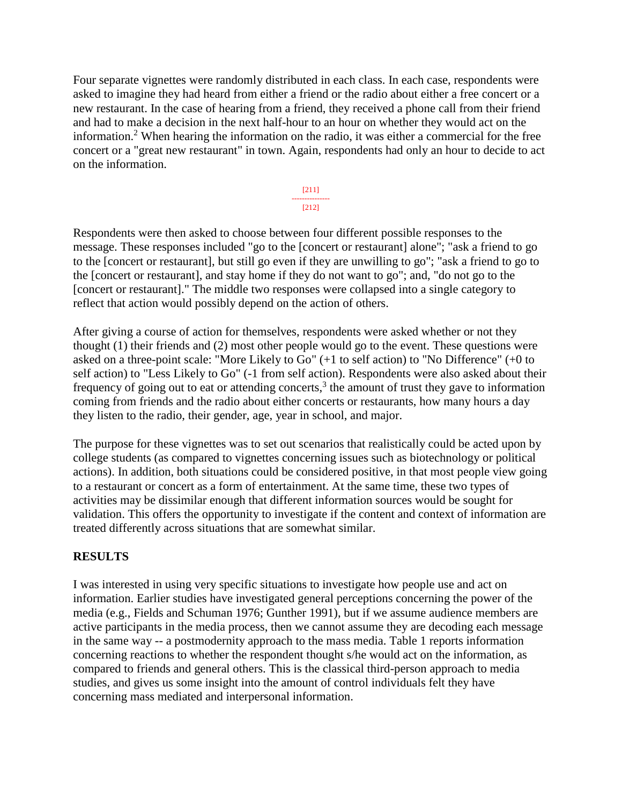Four separate vignettes were randomly distributed in each class. In each case, respondents were asked to imagine they had heard from either a friend or the radio about either a free concert or a new restaurant. In the case of hearing from a friend, they received a phone call from their friend and had to make a decision in the next half-hour to an hour on whether they would act on the information.<sup>2</sup> When hearing the information on the radio, it was either a commercial for the free concert or a "great new restaurant" in town. Again, respondents had only an hour to decide to act on the information.

> [211] --------------- [212]

Respondents were then asked to choose between four different possible responses to the message. These responses included "go to the [concert or restaurant] alone"; "ask a friend to go to the [concert or restaurant], but still go even if they are unwilling to go"; "ask a friend to go to the [concert or restaurant], and stay home if they do not want to go"; and, "do not go to the [concert or restaurant]." The middle two responses were collapsed into a single category to reflect that action would possibly depend on the action of others.

After giving a course of action for themselves, respondents were asked whether or not they thought (1) their friends and (2) most other people would go to the event. These questions were asked on a three-point scale: "More Likely to Go" (+1 to self action) to "No Difference" (+0 to self action) to "Less Likely to Go" (-1 from self action). Respondents were also asked about their frequency of going out to eat or attending concerts, $3$  the amount of trust they gave to information coming from friends and the radio about either concerts or restaurants, how many hours a day they listen to the radio, their gender, age, year in school, and major.

The purpose for these vignettes was to set out scenarios that realistically could be acted upon by college students (as compared to vignettes concerning issues such as biotechnology or political actions). In addition, both situations could be considered positive, in that most people view going to a restaurant or concert as a form of entertainment. At the same time, these two types of activities may be dissimilar enough that different information sources would be sought for validation. This offers the opportunity to investigate if the content and context of information are treated differently across situations that are somewhat similar.

## **RESULTS**

I was interested in using very specific situations to investigate how people use and act on information. Earlier studies have investigated general perceptions concerning the power of the media (e.g., Fields and Schuman 1976; Gunther 1991), but if we assume audience members are active participants in the media process, then we cannot assume they are decoding each message in the same way -- a postmodernity approach to the mass media. Table 1 reports information concerning reactions to whether the respondent thought s/he would act on the information, as compared to friends and general others. This is the classical third-person approach to media studies, and gives us some insight into the amount of control individuals felt they have concerning mass mediated and interpersonal information.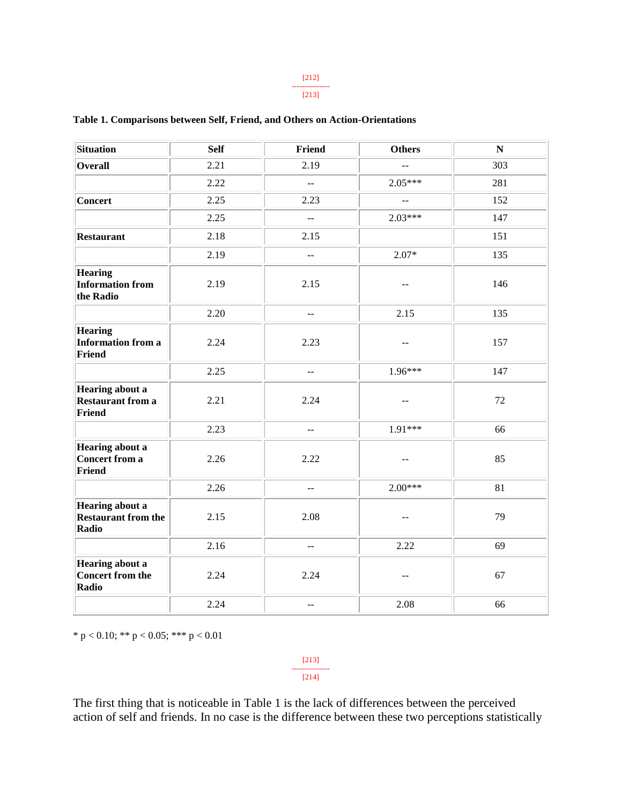#### [212] ---------------

#### [213]

| Situation                                                           | <b>Self</b> | Friend                                        | <b>Others</b>                                 | ${\bf N}$ |
|---------------------------------------------------------------------|-------------|-----------------------------------------------|-----------------------------------------------|-----------|
| Overall                                                             | 2.21        | 2.19                                          | $\overline{a}$                                | 303       |
|                                                                     | 2.22        | $\overline{a}$                                | $2.05***$                                     | 281       |
| <b>Concert</b>                                                      | 2.25        | 2.23                                          | $\mathbb{L} \mathbb{L}$                       | 152       |
|                                                                     | 2.25        | $\overline{a}$                                | $2.03***$                                     | 147       |
| <b>Restaurant</b>                                                   | 2.18        | 2.15                                          |                                               | 151       |
|                                                                     | 2.19        | $\mathbb{L} \mathbb{L}$                       | $2.07*$                                       | 135       |
| <b>Hearing</b><br><b>Information from</b><br>the Radio              | 2.19        | 2.15                                          | $-$                                           | 146       |
|                                                                     | 2.20        | $-$                                           | 2.15                                          | 135       |
| <b>Hearing</b><br>Information from a<br><b>Friend</b>               | 2.24        | 2.23                                          | $\mathord{\hspace{1pt}\text{--}\hspace{1pt}}$ | 157       |
|                                                                     | 2.25        | $\mathbb{L}^{\mathbb{L}}$                     | 1.96***                                       | 147       |
| <b>Hearing about a</b><br><b>Restaurant from a</b><br><b>Friend</b> | 2.21        | 2.24                                          | --                                            | 72        |
|                                                                     | 2.23        | $\overline{a}$                                | 1.91***                                       | 66        |
| <b>Hearing about a</b><br><b>Concert from a</b><br><b>Friend</b>    | 2.26        | 2.22                                          | $\mathord{\hspace{1pt}\text{--}\hspace{1pt}}$ | 85        |
|                                                                     | 2.26        | $\overline{\phantom{a}}$                      | $2.00***$                                     | 81        |
| <b>Hearing about a</b><br><b>Restaurant from the</b><br>Radio       | 2.15        | 2.08                                          | --                                            | 79        |
|                                                                     | 2.16        | $\mathbb{L}^{\mathbb{L}}$                     | 2.22                                          | 69        |
| Hearing about a<br><b>Concert from the</b><br>Radio                 | 2.24        | 2.24                                          | $-$                                           | 67        |
|                                                                     | 2.24        | $\mathord{\hspace{1pt}\text{--}\hspace{1pt}}$ | 2.08                                          | 66        |

### **Table 1. Comparisons between Self, Friend, and Others on Action-Orientations**

\* p < 0.10; \*\* p < 0.05; \*\*\* p < 0.01

[213] --------------- [214]

The first thing that is noticeable in Table 1 is the lack of differences between the perceived action of self and friends. In no case is the difference between these two perceptions statistically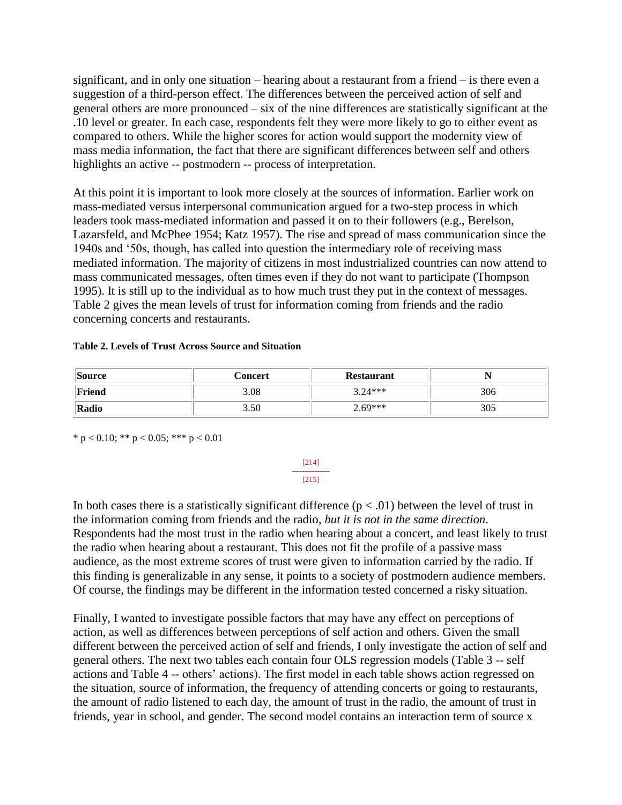significant, and in only one situation – hearing about a restaurant from a friend – is there even a suggestion of a third-person effect. The differences between the perceived action of self and general others are more pronounced – six of the nine differences are statistically significant at the .10 level or greater. In each case, respondents felt they were more likely to go to either event as compared to others. While the higher scores for action would support the modernity view of mass media information, the fact that there are significant differences between self and others highlights an active -- postmodern -- process of interpretation.

At this point it is important to look more closely at the sources of information. Earlier work on mass-mediated versus interpersonal communication argued for a two-step process in which leaders took mass-mediated information and passed it on to their followers (e.g., Berelson, Lazarsfeld, and McPhee 1954; Katz 1957). The rise and spread of mass communication since the 1940s and '50s, though, has called into question the intermediary role of receiving mass mediated information. The majority of citizens in most industrialized countries can now attend to mass communicated messages, often times even if they do not want to participate (Thompson 1995). It is still up to the individual as to how much trust they put in the context of messages. Table 2 gives the mean levels of trust for information coming from friends and the radio concerning concerts and restaurants.

### **Table 2. Levels of Trust Across Source and Situation**

| <i>Source</i> | Concert | <b>Restaurant</b> |     |
|---------------|---------|-------------------|-----|
| Friend        | 3.08    | $3.24***$         | 306 |
| Radio         | 3.50    | $2.69***$         | 305 |

[214] --------------- [215]

\* p < 0.10; \*\* p < 0.05; \*\*\* p < 0.01

In both cases there is a statistically significant difference  $(p < .01)$  between the level of trust in the information coming from friends and the radio, *but it is not in the same direction*. Respondents had the most trust in the radio when hearing about a concert, and least likely to trust the radio when hearing about a restaurant. This does not fit the profile of a passive mass audience, as the most extreme scores of trust were given to information carried by the radio. If this finding is generalizable in any sense, it points to a society of postmodern audience members. Of course, the findings may be different in the information tested concerned a risky situation.

Finally, I wanted to investigate possible factors that may have any effect on perceptions of action, as well as differences between perceptions of self action and others. Given the small different between the perceived action of self and friends, I only investigate the action of self and general others. The next two tables each contain four OLS regression models (Table 3 -- self actions and Table 4 -- others' actions). The first model in each table shows action regressed on the situation, source of information, the frequency of attending concerts or going to restaurants, the amount of radio listened to each day, the amount of trust in the radio, the amount of trust in friends, year in school, and gender. The second model contains an interaction term of source x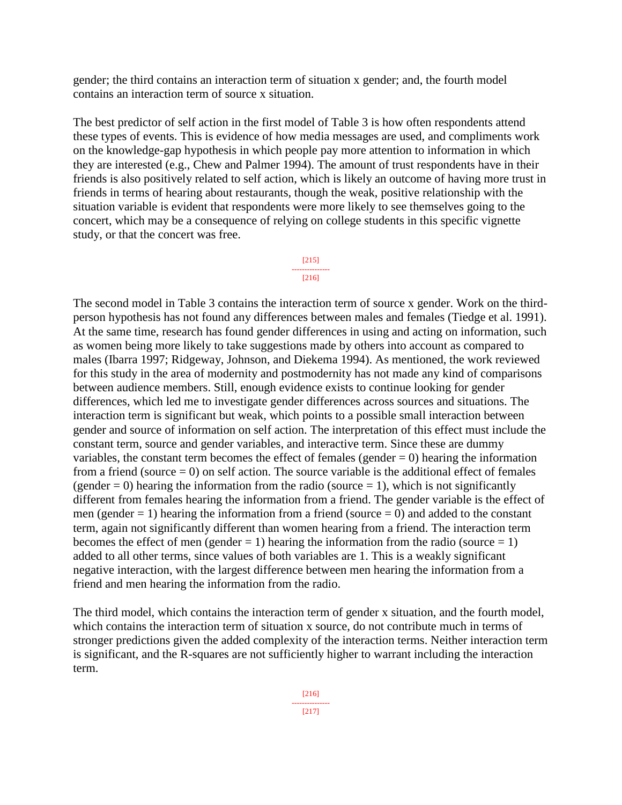gender; the third contains an interaction term of situation x gender; and, the fourth model contains an interaction term of source x situation.

The best predictor of self action in the first model of Table 3 is how often respondents attend these types of events. This is evidence of how media messages are used, and compliments work on the knowledge-gap hypothesis in which people pay more attention to information in which they are interested (e.g., Chew and Palmer 1994). The amount of trust respondents have in their friends is also positively related to self action, which is likely an outcome of having more trust in friends in terms of hearing about restaurants, though the weak, positive relationship with the situation variable is evident that respondents were more likely to see themselves going to the concert, which may be a consequence of relying on college students in this specific vignette study, or that the concert was free.



The second model in Table 3 contains the interaction term of source x gender. Work on the thirdperson hypothesis has not found any differences between males and females (Tiedge et al. 1991). At the same time, research has found gender differences in using and acting on information, such as women being more likely to take suggestions made by others into account as compared to males (Ibarra 1997; Ridgeway, Johnson, and Diekema 1994). As mentioned, the work reviewed for this study in the area of modernity and postmodernity has not made any kind of comparisons between audience members. Still, enough evidence exists to continue looking for gender differences, which led me to investigate gender differences across sources and situations. The interaction term is significant but weak, which points to a possible small interaction between gender and source of information on self action. The interpretation of this effect must include the constant term, source and gender variables, and interactive term. Since these are dummy variables, the constant term becomes the effect of females (gender  $= 0$ ) hearing the information from a friend (source  $= 0$ ) on self action. The source variable is the additional effect of females (gender  $= 0$ ) hearing the information from the radio (source  $= 1$ ), which is not significantly different from females hearing the information from a friend. The gender variable is the effect of men (gender  $= 1$ ) hearing the information from a friend (source  $= 0$ ) and added to the constant term, again not significantly different than women hearing from a friend. The interaction term becomes the effect of men (gender  $= 1$ ) hearing the information from the radio (source  $= 1$ ) added to all other terms, since values of both variables are 1. This is a weakly significant negative interaction, with the largest difference between men hearing the information from a friend and men hearing the information from the radio.

The third model, which contains the interaction term of gender x situation, and the fourth model, which contains the interaction term of situation x source, do not contribute much in terms of stronger predictions given the added complexity of the interaction terms. Neither interaction term is significant, and the R-squares are not sufficiently higher to warrant including the interaction term.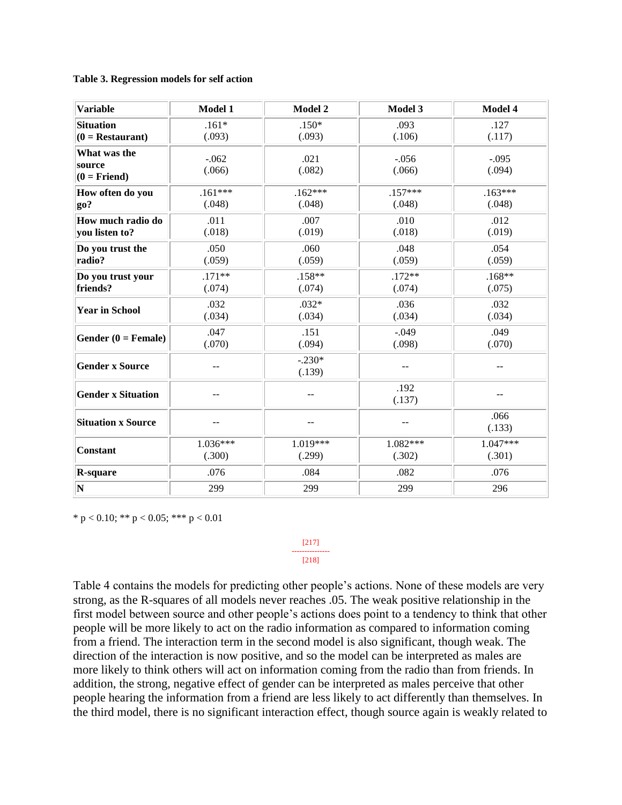#### **Table 3. Regression models for self action**

| <b>Variable</b>                          | Model 1           | Model 2            | Model 3           | Model 4           |
|------------------------------------------|-------------------|--------------------|-------------------|-------------------|
| <b>Situation</b>                         | $.161*$           | $.150*$            | .093              | .127              |
| $(0 =$ Restaurant)                       | (.093)            | (.093)             | (.106)            | (.117)            |
| What was the<br>source<br>$(0 =$ Friend) | $-.062$<br>(.066) | .021<br>(.082)     | $-.056$<br>(.066) | $-.095$<br>(.094) |
| How often do you                         | $.161***$         | $.162***$          | $.157***$         | $.163***$         |
| go?                                      | (.048)            | (.048)             | (.048)            | (.048)            |
| How much radio do                        | .011              | .007               | .010              | .012              |
| you listen to?                           | (.018)            | (.019)             | (.018)            | (.019)            |
| Do you trust the                         | .050              | .060               | .048              | .054              |
| radio?                                   | (.059)            | (.059)             | (.059)            | (.059)            |
| Do you trust your                        | $.171**$          | $.158**$           | $.172**$          | $.168**$          |
| friends?                                 | (.074)            | (.074)             | (.074)            | (.075)            |
| <b>Year in School</b>                    | .032              | $.032*$            | .036              | .032              |
|                                          | (.034)            | (.034)             | (.034)            | (.034)            |
| Gender $(0)$ = Female)                   | .047              | .151               | $-.049$           | .049              |
|                                          | (.070)            | (.094)             | (.098)            | (.070)            |
| <b>Gender x Source</b>                   | $-$               | $-.230*$<br>(.139) | $-$               | --                |
| <b>Gender x Situation</b>                | --                | --                 | .192<br>(.137)    |                   |
| <b>Situation x Source</b>                |                   | --                 |                   | .066<br>(.133)    |
| <b>Constant</b>                          | 1.036***          | 1.019***           | $1.082***$        | $1.047***$        |
|                                          | (.300)            | (.299)             | (.302)            | (.301)            |
| <b>R-square</b>                          | .076              | .084               | .082              | .076              |
| $ {\bf N} $                              | 299               | 299                | 299               | 296               |

\* p < 0.10; \*\* p < 0.05; \*\*\* p < 0.01

[217] --------------- [218]

Table 4 contains the models for predicting other people's actions. None of these models are very strong, as the R-squares of all models never reaches .05. The weak positive relationship in the first model between source and other people's actions does point to a tendency to think that other people will be more likely to act on the radio information as compared to information coming from a friend. The interaction term in the second model is also significant, though weak. The direction of the interaction is now positive, and so the model can be interpreted as males are more likely to think others will act on information coming from the radio than from friends. In addition, the strong, negative effect of gender can be interpreted as males perceive that other people hearing the information from a friend are less likely to act differently than themselves. In the third model, there is no significant interaction effect, though source again is weakly related to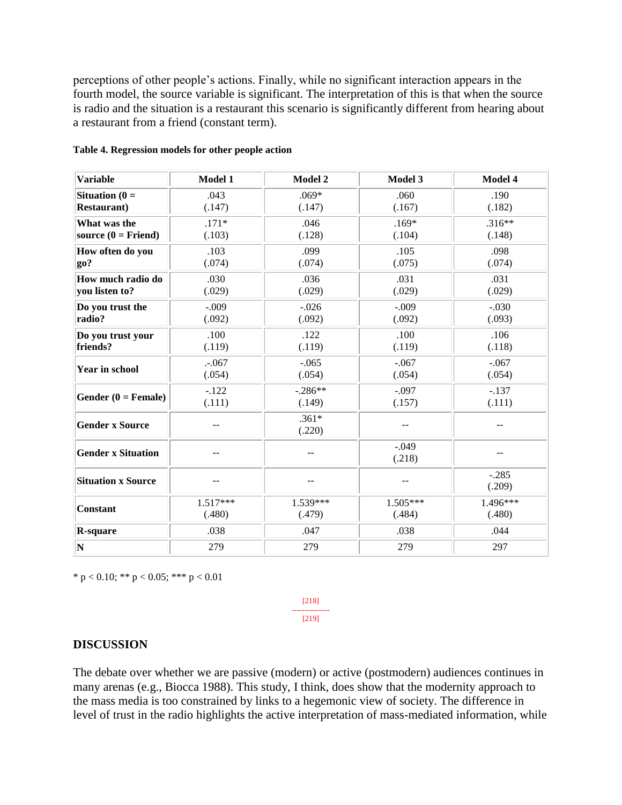perceptions of other people's actions. Finally, while no significant interaction appears in the fourth model, the source variable is significant. The interpretation of this is that when the source is radio and the situation is a restaurant this scenario is significantly different from hearing about a restaurant from a friend (constant term).

| <b>Variable</b>           | Model 1    | <b>Model 2</b>    | Model 3           | Model 4           |
|---------------------------|------------|-------------------|-------------------|-------------------|
| Situation $(0 =$          | .043       | $.069*$           | .060              | .190              |
| <b>Restaurant</b> )       | (.147)     | (.147)            | (.167)            | (.182)            |
| What was the              | $.171*$    | .046              | $.169*$           | $.316**$          |
| source $(0 = Friend)$     | (.103)     | (.128)            | (.104)            | (.148)            |
| How often do you          | .103       | .099              | .105              | .098              |
| go?                       | (.074)     | (.074)            | (.075)            | (.074)            |
| How much radio do         | .030       | .036              | .031              | .031              |
| you listen to?            | (.029)     | (.029)            | (.029)            | (.029)            |
| Do you trust the          | $-.009$    | $-.026$           | $-.009$           | $-.030$           |
| radio?                    | (.092)     | (.092)            | (.092)            | (.093)            |
| Do you trust your         | .100       | .122              | .100              | .106              |
| friends?                  | (.119)     | (.119)            | (.119)            | (.118)            |
| <b>Year in school</b>     | $-.067$    | $-.065$           | $-.067$           | $-.067$           |
|                           | (.054)     | (.054)            | (.054)            | (.054)            |
| Gender $(0)$ = Female)    | $-.122$    | $-.286**$         | $-.097$           | $-.137$           |
|                           | (.111)     | (.149)            | (.157)            | (.111)            |
| <b>Gender x Source</b>    |            | $.361*$<br>(.220) |                   |                   |
| <b>Gender x Situation</b> |            |                   | $-.049$<br>(.218) |                   |
| <b>Situation x Source</b> |            |                   |                   | $-.285$<br>(.209) |
| <b>Constant</b>           | $1.517***$ | $1.539***$        | 1.505***          | 1.496***          |
|                           | (.480)     | (.479)            | (.484)            | (.480)            |
| <b>R-square</b>           | .038       | .047              | .038              | .044              |
| $ {\bf N}$                | 279        | 279               | 279               | 297               |

### **Table 4. Regression models for other people action**

\* p < 0.10; \*\* p < 0.05; \*\*\* p < 0.01

[218] --------------- [219]

## **DISCUSSION**

The debate over whether we are passive (modern) or active (postmodern) audiences continues in many arenas (e.g., Biocca 1988). This study, I think, does show that the modernity approach to the mass media is too constrained by links to a hegemonic view of society. The difference in level of trust in the radio highlights the active interpretation of mass-mediated information, while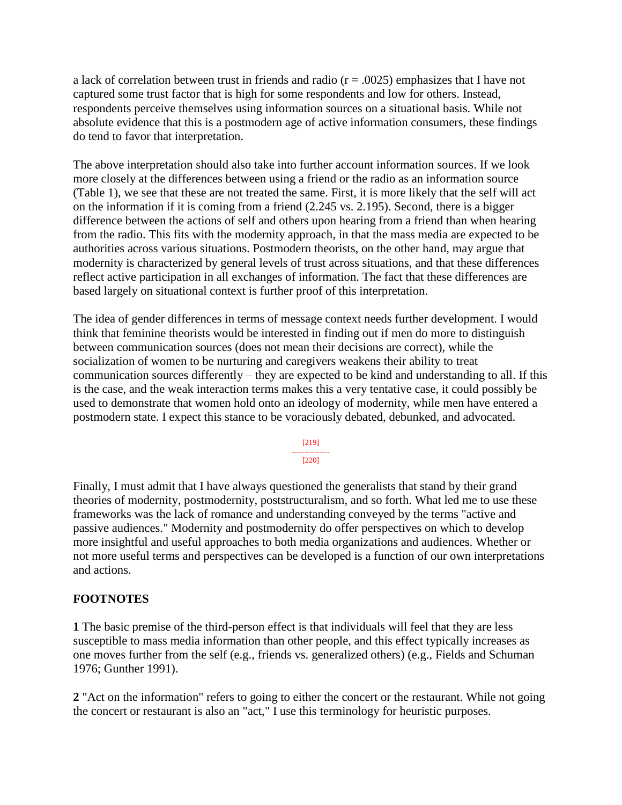a lack of correlation between trust in friends and radio  $(r = .0025)$  emphasizes that I have not captured some trust factor that is high for some respondents and low for others. Instead, respondents perceive themselves using information sources on a situational basis. While not absolute evidence that this is a postmodern age of active information consumers, these findings do tend to favor that interpretation.

The above interpretation should also take into further account information sources. If we look more closely at the differences between using a friend or the radio as an information source (Table 1), we see that these are not treated the same. First, it is more likely that the self will act on the information if it is coming from a friend (2.245 vs. 2.195). Second, there is a bigger difference between the actions of self and others upon hearing from a friend than when hearing from the radio. This fits with the modernity approach, in that the mass media are expected to be authorities across various situations. Postmodern theorists, on the other hand, may argue that modernity is characterized by general levels of trust across situations, and that these differences reflect active participation in all exchanges of information. The fact that these differences are based largely on situational context is further proof of this interpretation.

The idea of gender differences in terms of message context needs further development. I would think that feminine theorists would be interested in finding out if men do more to distinguish between communication sources (does not mean their decisions are correct), while the socialization of women to be nurturing and caregivers weakens their ability to treat communication sources differently – they are expected to be kind and understanding to all. If this is the case, and the weak interaction terms makes this a very tentative case, it could possibly be used to demonstrate that women hold onto an ideology of modernity, while men have entered a postmodern state. I expect this stance to be voraciously debated, debunked, and advocated.

> [219] --------------- [220]

Finally, I must admit that I have always questioned the generalists that stand by their grand theories of modernity, postmodernity, poststructuralism, and so forth. What led me to use these frameworks was the lack of romance and understanding conveyed by the terms "active and passive audiences." Modernity and postmodernity do offer perspectives on which to develop more insightful and useful approaches to both media organizations and audiences. Whether or not more useful terms and perspectives can be developed is a function of our own interpretations and actions.

## **FOOTNOTES**

**1** The basic premise of the third-person effect is that individuals will feel that they are less susceptible to mass media information than other people, and this effect typically increases as one moves further from the self (e.g., friends vs. generalized others) (e.g., Fields and Schuman 1976; Gunther 1991).

**2** "Act on the information" refers to going to either the concert or the restaurant. While not going the concert or restaurant is also an "act," I use this terminology for heuristic purposes.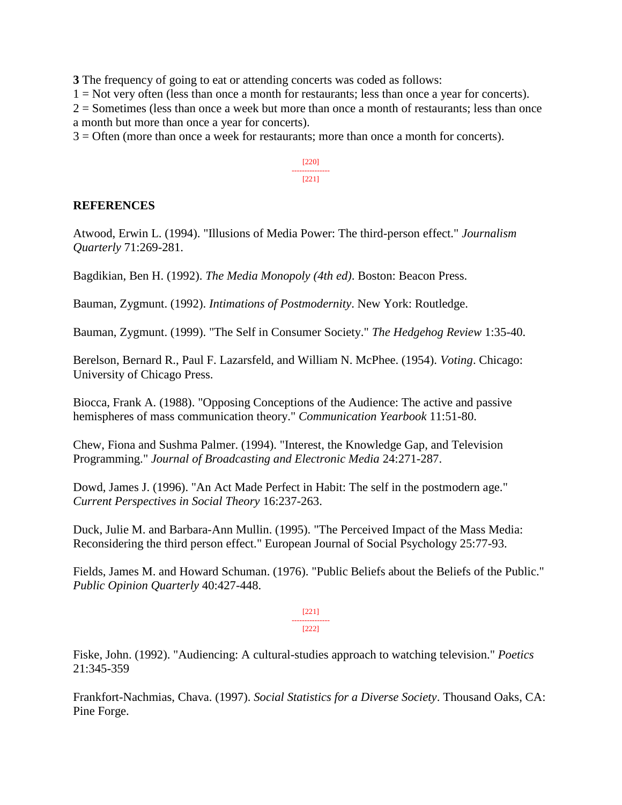**3** The frequency of going to eat or attending concerts was coded as follows:

 $1 = Not$  very often (less than once a month for restaurants; less than once a year for concerts).

 $2 =$  Sometimes (less than once a week but more than once a month of restaurants; less than once a month but more than once a year for concerts).

3 = Often (more than once a week for restaurants; more than once a month for concerts).

[220] --------------- [221]

## **REFERENCES**

Atwood, Erwin L. (1994). "Illusions of Media Power: The third-person effect." *Journalism Quarterly* 71:269-281.

Bagdikian, Ben H. (1992). *The Media Monopoly (4th ed)*. Boston: Beacon Press.

Bauman, Zygmunt. (1992). *Intimations of Postmodernity*. New York: Routledge.

Bauman, Zygmunt. (1999). "The Self in Consumer Society." *The Hedgehog Review* 1:35-40.

Berelson, Bernard R., Paul F. Lazarsfeld, and William N. McPhee. (1954). *Voting*. Chicago: University of Chicago Press.

Biocca, Frank A. (1988). "Opposing Conceptions of the Audience: The active and passive hemispheres of mass communication theory." *Communication Yearbook* 11:51-80.

Chew, Fiona and Sushma Palmer. (1994). "Interest, the Knowledge Gap, and Television Programming." *Journal of Broadcasting and Electronic Media* 24:271-287.

Dowd, James J. (1996). "An Act Made Perfect in Habit: The self in the postmodern age." *Current Perspectives in Social Theory* 16:237-263.

Duck, Julie M. and Barbara-Ann Mullin. (1995). "The Perceived Impact of the Mass Media: Reconsidering the third person effect." European Journal of Social Psychology 25:77-93.

Fields, James M. and Howard Schuman. (1976). "Public Beliefs about the Beliefs of the Public." *Public Opinion Quarterly* 40:427-448.

> [221] --------------- [222]

Fiske, John. (1992). "Audiencing: A cultural-studies approach to watching television." *Poetics* 21:345-359

Frankfort-Nachmias, Chava. (1997). *Social Statistics for a Diverse Society*. Thousand Oaks, CA: Pine Forge.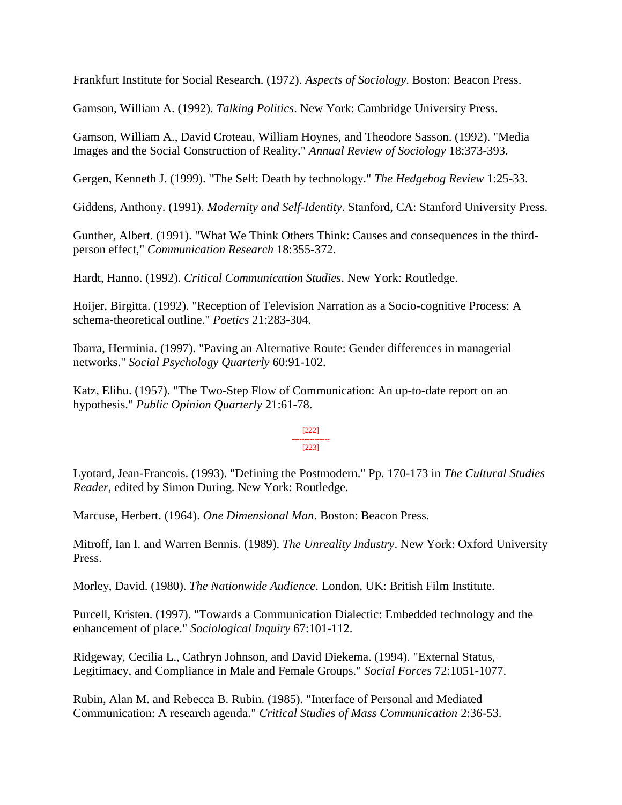Frankfurt Institute for Social Research. (1972). *Aspects of Sociology*. Boston: Beacon Press.

Gamson, William A. (1992). *Talking Politics*. New York: Cambridge University Press.

Gamson, William A., David Croteau, William Hoynes, and Theodore Sasson. (1992). "Media Images and the Social Construction of Reality." *Annual Review of Sociology* 18:373-393.

Gergen, Kenneth J. (1999). "The Self: Death by technology." *The Hedgehog Review* 1:25-33.

Giddens, Anthony. (1991). *Modernity and Self-Identity*. Stanford, CA: Stanford University Press.

Gunther, Albert. (1991). "What We Think Others Think: Causes and consequences in the thirdperson effect," *Communication Research* 18:355-372.

Hardt, Hanno. (1992). *Critical Communication Studies*. New York: Routledge.

Hoijer, Birgitta. (1992). "Reception of Television Narration as a Socio-cognitive Process: A schema-theoretical outline." *Poetics* 21:283-304.

Ibarra, Herminia. (1997). "Paving an Alternative Route: Gender differences in managerial networks." *Social Psychology Quarterly* 60:91-102.

Katz, Elihu. (1957). "The Two-Step Flow of Communication: An up-to-date report on an hypothesis." *Public Opinion Quarterly* 21:61-78.

> [222] --------------- [223]

Lyotard, Jean-Francois. (1993). "Defining the Postmodern." Pp. 170-173 in *The Cultural Studies Reader*, edited by Simon During. New York: Routledge.

Marcuse, Herbert. (1964). *One Dimensional Man*. Boston: Beacon Press.

Mitroff, Ian I. and Warren Bennis. (1989). *The Unreality Industry*. New York: Oxford University Press.

Morley, David. (1980). *The Nationwide Audience*. London, UK: British Film Institute.

Purcell, Kristen. (1997). "Towards a Communication Dialectic: Embedded technology and the enhancement of place." *Sociological Inquiry* 67:101-112.

Ridgeway, Cecilia L., Cathryn Johnson, and David Diekema. (1994). "External Status, Legitimacy, and Compliance in Male and Female Groups." *Social Forces* 72:1051-1077.

Rubin, Alan M. and Rebecca B. Rubin. (1985). "Interface of Personal and Mediated Communication: A research agenda." *Critical Studies of Mass Communication* 2:36-53.